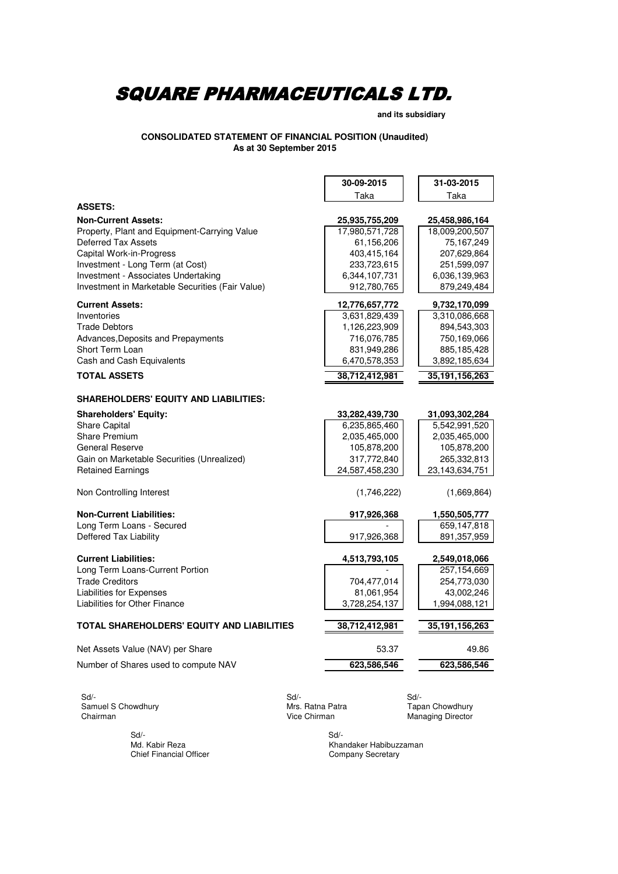**and its subsidiary**

**As at 30 September 2015 CONSOLIDATED STATEMENT OF FINANCIAL POSITION (Unaudited)**

| Taka<br>Taka<br><b>ASSETS:</b><br><b>Non-Current Assets:</b><br>25,935,755,209<br>25,458,986,164<br>Property, Plant and Equipment-Carrying Value<br>17,980,571,728<br>18,009,200,507<br><b>Deferred Tax Assets</b><br>61,156,206<br>75,167,249<br><b>Capital Work-in-Progress</b><br>403,415,164<br>207,629,864<br>Investment - Long Term (at Cost)<br>233,723,615<br>251,599,097<br>Investment - Associates Undertaking<br>6,344,107,731<br>6,036,139,963<br>Investment in Marketable Securities (Fair Value)<br>912,780,765<br>879,249,484<br><b>Current Assets:</b><br>12,776,657,772<br>9,732,170,099<br>Inventories<br>3,631,829,439<br>3,310,086,668<br>1,126,223,909<br><b>Trade Debtors</b><br>894,543,303<br>716,076,785<br>750,169,066<br>Advances, Deposits and Prepayments<br>Short Term Loan<br>831,949,286<br>885,185,428<br>Cash and Cash Equivalents<br>6,470,578,353<br>3,892,185,634<br><b>TOTAL ASSETS</b><br>38,712,412,981<br>35, 191, 156, 263<br><b>SHAREHOLDERS' EQUITY AND LIABILITIES:</b><br><b>Shareholders' Equity:</b><br>31,093,302,284<br>33,282,439,730<br>Share Capital<br>6,235,865,460<br>5,542,991,520<br><b>Share Premium</b><br>2,035,465,000<br>2,035,465,000<br><b>General Reserve</b><br>105,878,200<br>105,878,200<br>317,772,840<br>265,332,813<br>Gain on Marketable Securities (Unrealized)<br>23, 143, 634, 751<br><b>Retained Earnings</b><br>24,587,458,230 |  |
|--------------------------------------------------------------------------------------------------------------------------------------------------------------------------------------------------------------------------------------------------------------------------------------------------------------------------------------------------------------------------------------------------------------------------------------------------------------------------------------------------------------------------------------------------------------------------------------------------------------------------------------------------------------------------------------------------------------------------------------------------------------------------------------------------------------------------------------------------------------------------------------------------------------------------------------------------------------------------------------------------------------------------------------------------------------------------------------------------------------------------------------------------------------------------------------------------------------------------------------------------------------------------------------------------------------------------------------------------------------------------------------------------------------|--|
|                                                                                                                                                                                                                                                                                                                                                                                                                                                                                                                                                                                                                                                                                                                                                                                                                                                                                                                                                                                                                                                                                                                                                                                                                                                                                                                                                                                                              |  |
|                                                                                                                                                                                                                                                                                                                                                                                                                                                                                                                                                                                                                                                                                                                                                                                                                                                                                                                                                                                                                                                                                                                                                                                                                                                                                                                                                                                                              |  |
|                                                                                                                                                                                                                                                                                                                                                                                                                                                                                                                                                                                                                                                                                                                                                                                                                                                                                                                                                                                                                                                                                                                                                                                                                                                                                                                                                                                                              |  |
|                                                                                                                                                                                                                                                                                                                                                                                                                                                                                                                                                                                                                                                                                                                                                                                                                                                                                                                                                                                                                                                                                                                                                                                                                                                                                                                                                                                                              |  |
|                                                                                                                                                                                                                                                                                                                                                                                                                                                                                                                                                                                                                                                                                                                                                                                                                                                                                                                                                                                                                                                                                                                                                                                                                                                                                                                                                                                                              |  |
|                                                                                                                                                                                                                                                                                                                                                                                                                                                                                                                                                                                                                                                                                                                                                                                                                                                                                                                                                                                                                                                                                                                                                                                                                                                                                                                                                                                                              |  |
|                                                                                                                                                                                                                                                                                                                                                                                                                                                                                                                                                                                                                                                                                                                                                                                                                                                                                                                                                                                                                                                                                                                                                                                                                                                                                                                                                                                                              |  |
|                                                                                                                                                                                                                                                                                                                                                                                                                                                                                                                                                                                                                                                                                                                                                                                                                                                                                                                                                                                                                                                                                                                                                                                                                                                                                                                                                                                                              |  |
|                                                                                                                                                                                                                                                                                                                                                                                                                                                                                                                                                                                                                                                                                                                                                                                                                                                                                                                                                                                                                                                                                                                                                                                                                                                                                                                                                                                                              |  |
|                                                                                                                                                                                                                                                                                                                                                                                                                                                                                                                                                                                                                                                                                                                                                                                                                                                                                                                                                                                                                                                                                                                                                                                                                                                                                                                                                                                                              |  |
|                                                                                                                                                                                                                                                                                                                                                                                                                                                                                                                                                                                                                                                                                                                                                                                                                                                                                                                                                                                                                                                                                                                                                                                                                                                                                                                                                                                                              |  |
|                                                                                                                                                                                                                                                                                                                                                                                                                                                                                                                                                                                                                                                                                                                                                                                                                                                                                                                                                                                                                                                                                                                                                                                                                                                                                                                                                                                                              |  |
|                                                                                                                                                                                                                                                                                                                                                                                                                                                                                                                                                                                                                                                                                                                                                                                                                                                                                                                                                                                                                                                                                                                                                                                                                                                                                                                                                                                                              |  |
|                                                                                                                                                                                                                                                                                                                                                                                                                                                                                                                                                                                                                                                                                                                                                                                                                                                                                                                                                                                                                                                                                                                                                                                                                                                                                                                                                                                                              |  |
|                                                                                                                                                                                                                                                                                                                                                                                                                                                                                                                                                                                                                                                                                                                                                                                                                                                                                                                                                                                                                                                                                                                                                                                                                                                                                                                                                                                                              |  |
|                                                                                                                                                                                                                                                                                                                                                                                                                                                                                                                                                                                                                                                                                                                                                                                                                                                                                                                                                                                                                                                                                                                                                                                                                                                                                                                                                                                                              |  |
|                                                                                                                                                                                                                                                                                                                                                                                                                                                                                                                                                                                                                                                                                                                                                                                                                                                                                                                                                                                                                                                                                                                                                                                                                                                                                                                                                                                                              |  |
|                                                                                                                                                                                                                                                                                                                                                                                                                                                                                                                                                                                                                                                                                                                                                                                                                                                                                                                                                                                                                                                                                                                                                                                                                                                                                                                                                                                                              |  |
|                                                                                                                                                                                                                                                                                                                                                                                                                                                                                                                                                                                                                                                                                                                                                                                                                                                                                                                                                                                                                                                                                                                                                                                                                                                                                                                                                                                                              |  |
|                                                                                                                                                                                                                                                                                                                                                                                                                                                                                                                                                                                                                                                                                                                                                                                                                                                                                                                                                                                                                                                                                                                                                                                                                                                                                                                                                                                                              |  |
|                                                                                                                                                                                                                                                                                                                                                                                                                                                                                                                                                                                                                                                                                                                                                                                                                                                                                                                                                                                                                                                                                                                                                                                                                                                                                                                                                                                                              |  |
|                                                                                                                                                                                                                                                                                                                                                                                                                                                                                                                                                                                                                                                                                                                                                                                                                                                                                                                                                                                                                                                                                                                                                                                                                                                                                                                                                                                                              |  |
|                                                                                                                                                                                                                                                                                                                                                                                                                                                                                                                                                                                                                                                                                                                                                                                                                                                                                                                                                                                                                                                                                                                                                                                                                                                                                                                                                                                                              |  |
|                                                                                                                                                                                                                                                                                                                                                                                                                                                                                                                                                                                                                                                                                                                                                                                                                                                                                                                                                                                                                                                                                                                                                                                                                                                                                                                                                                                                              |  |
| Non Controlling Interest<br>(1,746,222)<br>(1,669,864)                                                                                                                                                                                                                                                                                                                                                                                                                                                                                                                                                                                                                                                                                                                                                                                                                                                                                                                                                                                                                                                                                                                                                                                                                                                                                                                                                       |  |
| <b>Non-Current Liabilities:</b><br>917,926,368<br>1,550,505,777                                                                                                                                                                                                                                                                                                                                                                                                                                                                                                                                                                                                                                                                                                                                                                                                                                                                                                                                                                                                                                                                                                                                                                                                                                                                                                                                              |  |
| Long Term Loans - Secured<br>659,147,818                                                                                                                                                                                                                                                                                                                                                                                                                                                                                                                                                                                                                                                                                                                                                                                                                                                                                                                                                                                                                                                                                                                                                                                                                                                                                                                                                                     |  |
| <b>Deffered Tax Liability</b><br>917,926,368<br>891,357,959                                                                                                                                                                                                                                                                                                                                                                                                                                                                                                                                                                                                                                                                                                                                                                                                                                                                                                                                                                                                                                                                                                                                                                                                                                                                                                                                                  |  |
| <b>Current Liabilities:</b><br>4,513,793,105<br>2,549,018,066                                                                                                                                                                                                                                                                                                                                                                                                                                                                                                                                                                                                                                                                                                                                                                                                                                                                                                                                                                                                                                                                                                                                                                                                                                                                                                                                                |  |
| Long Term Loans-Current Portion<br>257,154,669                                                                                                                                                                                                                                                                                                                                                                                                                                                                                                                                                                                                                                                                                                                                                                                                                                                                                                                                                                                                                                                                                                                                                                                                                                                                                                                                                               |  |
| 704,477,014<br>254,773,030<br><b>Trade Creditors</b>                                                                                                                                                                                                                                                                                                                                                                                                                                                                                                                                                                                                                                                                                                                                                                                                                                                                                                                                                                                                                                                                                                                                                                                                                                                                                                                                                         |  |
| Liabilities for Expenses<br>81,061,954<br>43,002,246                                                                                                                                                                                                                                                                                                                                                                                                                                                                                                                                                                                                                                                                                                                                                                                                                                                                                                                                                                                                                                                                                                                                                                                                                                                                                                                                                         |  |
| Liabilities for Other Finance<br>3,728,254,137<br>1,994,088,121                                                                                                                                                                                                                                                                                                                                                                                                                                                                                                                                                                                                                                                                                                                                                                                                                                                                                                                                                                                                                                                                                                                                                                                                                                                                                                                                              |  |
| TOTAL SHAREHOLDERS' EQUITY AND LIABILITIES<br>38,712,412,981<br>35, 191, 156, 263                                                                                                                                                                                                                                                                                                                                                                                                                                                                                                                                                                                                                                                                                                                                                                                                                                                                                                                                                                                                                                                                                                                                                                                                                                                                                                                            |  |
| Net Assets Value (NAV) per Share<br>53.37<br>49.86                                                                                                                                                                                                                                                                                                                                                                                                                                                                                                                                                                                                                                                                                                                                                                                                                                                                                                                                                                                                                                                                                                                                                                                                                                                                                                                                                           |  |
| 623,586,546<br>623,586,546<br>Number of Shares used to compute NAV                                                                                                                                                                                                                                                                                                                                                                                                                                                                                                                                                                                                                                                                                                                                                                                                                                                                                                                                                                                                                                                                                                                                                                                                                                                                                                                                           |  |
| Sd/-<br>Sd/-<br>Sd/-                                                                                                                                                                                                                                                                                                                                                                                                                                                                                                                                                                                                                                                                                                                                                                                                                                                                                                                                                                                                                                                                                                                                                                                                                                                                                                                                                                                         |  |

Samuel S Chowdhury **Mrs. Ratna Patra Mrs. Ratna Patra** Tapan Chowdhury Chairman Vice Chirman Managing Director

> Sd/- Sd/- Chief Financial Officer

Khandaker Habibuzzaman<br>Company Secretary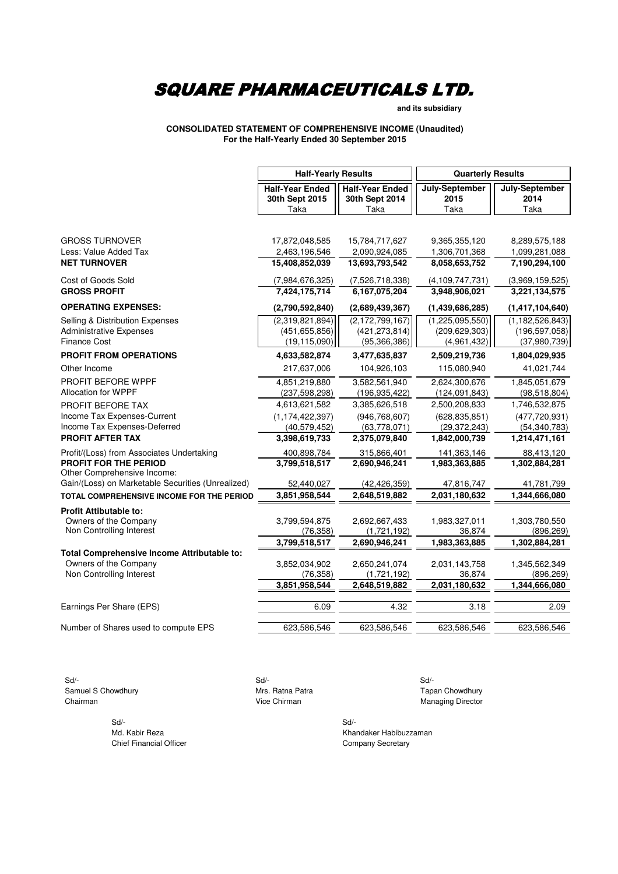**and its subsidiary**

**CONSOLIDATED STATEMENT OF COMPREHENSIVE INCOME (Unaudited) For the Half-Yearly Ended 30 September 2015**

|                                                      | <b>Half-Yearly Results</b>                       |                                                  | <b>Quarterly Results</b>       |                                |  |
|------------------------------------------------------|--------------------------------------------------|--------------------------------------------------|--------------------------------|--------------------------------|--|
|                                                      | <b>Half-Year Ended</b><br>30th Sept 2015<br>Taka | <b>Half-Year Ended</b><br>30th Sept 2014<br>Taka | July-September<br>2015<br>Taka | July-September<br>2014<br>Taka |  |
|                                                      |                                                  |                                                  |                                |                                |  |
| <b>GROSS TURNOVER</b>                                | 17,872,048,585                                   | 15,784,717,627                                   | 9,365,355,120                  | 8,289,575,188                  |  |
| Less: Value Added Tax                                | 2,463,196,546                                    | 2,090,924,085                                    | 1,306,701,368                  | 1,099,281,088                  |  |
| <b>NET TURNOVER</b>                                  | 15,408,852,039                                   | 13,693,793,542                                   | 8,058,653,752                  | 7,190,294,100                  |  |
| Cost of Goods Sold                                   | (7,984,676,325)                                  | (7,526,718,338)                                  | (4, 109, 747, 731)             | (3,969,159,525)                |  |
| <b>GROSS PROFIT</b>                                  | 7,424,175,714                                    | 6,167,075,204                                    | 3,948,906,021                  | 3,221,134,575                  |  |
| <b>OPERATING EXPENSES:</b>                           | (2,790,592,840)                                  | (2,689,439,367)                                  | (1,439,686,285)                | (1,417,104,640)                |  |
| <b>Selling &amp; Distribution Expenses</b>           | (2,319,821,894)                                  | (2, 172, 799, 167)                               | (1,225,095,550)                | (1, 182, 526, 843)             |  |
| <b>Administrative Expenses</b>                       | (451, 655, 856)                                  | (421, 273, 814)                                  | (209, 629, 303)                | (196, 597, 058)                |  |
| <b>Finance Cost</b>                                  | (19, 115, 090)                                   | (95, 366, 386)                                   | (4,961,432)                    | (37,980,739)                   |  |
| <b>PROFIT FROM OPERATIONS</b>                        | 4,633,582,874                                    | 3,477,635,837                                    | 2,509,219,736                  | 1,804,029,935                  |  |
| Other Income                                         | 217,637,006                                      | 104,926,103                                      | 115,080,940                    | 41,021,744                     |  |
| PROFIT BEFORE WPPF                                   | 4,851,219,880                                    | 3,582,561,940                                    | 2,624,300,676                  | 1,845,051,679                  |  |
| <b>Allocation for WPPF</b>                           | (237, 598, 298)                                  | (196, 935, 422)                                  | (124, 091, 843)                | (98, 518, 804)                 |  |
| PROFIT BEFORE TAX                                    | 4,613,621,582                                    | 3,385,626,518                                    | 2,500,208,833                  | 1,746,532,875                  |  |
| Income Tax Expenses-Current                          | (1, 174, 422, 397)                               | (946, 768, 607)                                  | (628, 835, 851)                | (477, 720, 931)                |  |
| Income Tax Expenses-Deferred                         | (40, 579, 452)                                   | (63,778,071)                                     | (29, 372, 243)                 | (54, 340, 783)                 |  |
| <b>PROFIT AFTER TAX</b>                              | 3,398,619,733                                    | 2,375,079,840                                    | 1,842,000,739                  | 1,214,471,161                  |  |
| Profit/(Loss) from Associates Undertaking            | 400,898,784                                      | 315,866,401                                      | 141,363,146                    | 88,413,120                     |  |
| PROFIT FOR THE PERIOD<br>Other Comprehensive Income: | 3,799,518,517                                    | 2,690,946,241                                    | 1,983,363,885                  | 1,302,884,281                  |  |
| Gain/(Loss) on Marketable Securities (Unrealized)    | 52,440,027                                       | (42, 426, 359)                                   | 47,816,747                     | 41,781,799                     |  |
| TOTAL COMPREHENSIVE INCOME FOR THE PERIOD            | 3,851,958,544                                    | 2,648,519,882                                    | 2,031,180,632                  | 1,344,666,080                  |  |
| <b>Profit Attibutable to:</b>                        |                                                  |                                                  |                                |                                |  |
| Owners of the Company                                | 3,799,594,875                                    | 2,692,667,433                                    | 1,983,327,011                  | 1,303,780,550                  |  |
| Non Controlling Interest                             | (76, 358)                                        | (1,721,192)                                      | 36,874                         | (896, 269)                     |  |
|                                                      | 3,799,518,517                                    | 2,690,946,241                                    | 1,983,363,885                  | 1,302,884,281                  |  |
| Total Comprehensive Income Attributable to:          |                                                  |                                                  |                                |                                |  |
| Owners of the Company<br>Non Controlling Interest    | 3,852,034,902<br>(76, 358)                       | 2,650,241,074                                    | 2,031,143,758<br>36,874        | 1,345,562,349<br>(896, 269)    |  |
|                                                      | 3,851,958,544                                    | (1,721,192)<br>2,648,519,882                     | 2,031,180,632                  | 1,344,666,080                  |  |
|                                                      |                                                  |                                                  |                                |                                |  |
| Earnings Per Share (EPS)                             | 6.09                                             | 4.32                                             | 3.18                           | 2.09                           |  |
| Number of Shares used to compute EPS                 | 623,586,546                                      | 623,586,546                                      | 623,586,546                    | 623,586,546                    |  |

 Sd/- Sd/- Sd/- Samuel S Chowdhury **Samuel S Chowdhury** Mrs. Ratna Patra **No. 1988** Tapan Chowdhury **Chairman** Managing Director Chairman Managing Director

 $Sd/-$ Chief Financial Officer Chief Financial Officer Company Secretary

Md. Kabir Reza Khandaker Habibuzzaman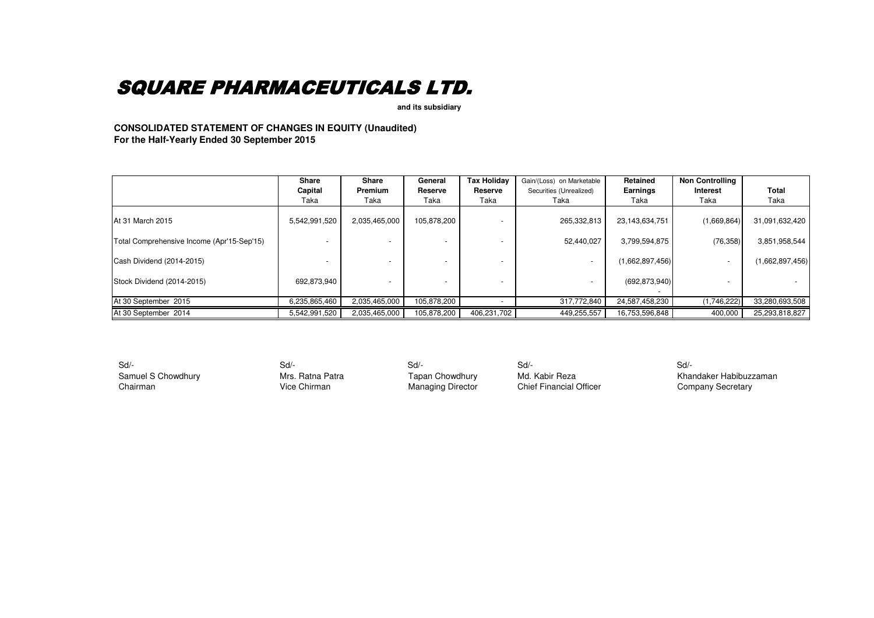**and its subsidiary** 

**CONSOLIDATED STATEMENT OF CHANGES IN EQUITY (Unaudited) For the Half-Yearly Ended 30 September 2015**

|                                            | <b>Share</b>    | Share                  | General         | <b>Tax Holiday</b> | Gain/(Loss) on Marketable       | Retained         | <b>Non Controlling</b> |                 |
|--------------------------------------------|-----------------|------------------------|-----------------|--------------------|---------------------------------|------------------|------------------------|-----------------|
|                                            | Capital<br>Taka | <b>Premium</b><br>Taka | Reserve<br>Taka | Reserve<br>Taka    | Securities (Unrealized)<br>Taka | Earnings<br>Taka | Interest<br>Taka       | Total<br>Taka   |
| <b>At 31 March 2015</b>                    | 5,542,991,520   | 2,035,465,000          | 105,878,200     |                    | 265,332,813                     | 23,143,634,751   | (1,669,864)            | 31,091,632,420  |
| Total Comprehensive Income (Apr'15-Sep'15) |                 |                        |                 |                    | 52,440,027                      | 3,799,594,875    | (76, 358)              | 3,851,958,544   |
| Cash Dividend (2014-2015)                  |                 |                        |                 |                    |                                 | (1,662,897,456)  |                        | (1,662,897,456) |
| Stock Dividend (2014-2015)                 | 692,873,940     |                        |                 |                    |                                 | (692, 873, 940)  |                        |                 |
| At 30 September 2015                       | 6,235,865,460   | 2.035.465.000          | 105,878,200     |                    | 317.772.840                     | 24,587,458,230   | (1,746,222)            | 33,280,693,508  |
| At 30 September 2014                       | 5,542,991,520   | 2,035,465,000          | 105,878,200     | 406,231,702        | 449,255,557                     | 16,753,596,848   | 400,000                | 25,293,818,827  |

Sd/- Sd/- Sd/- Sd/- Sd/-

Samuel S Chowdhury **Samuel S Chowdhury Mrs. Ratna Patra** Tapan Chowdhury Md. Kabir Reza Khandaker Habibuzzaman<br>Chairman Vice Chirman Managing Director Chief Financial Officer Company Secretary Company Secretary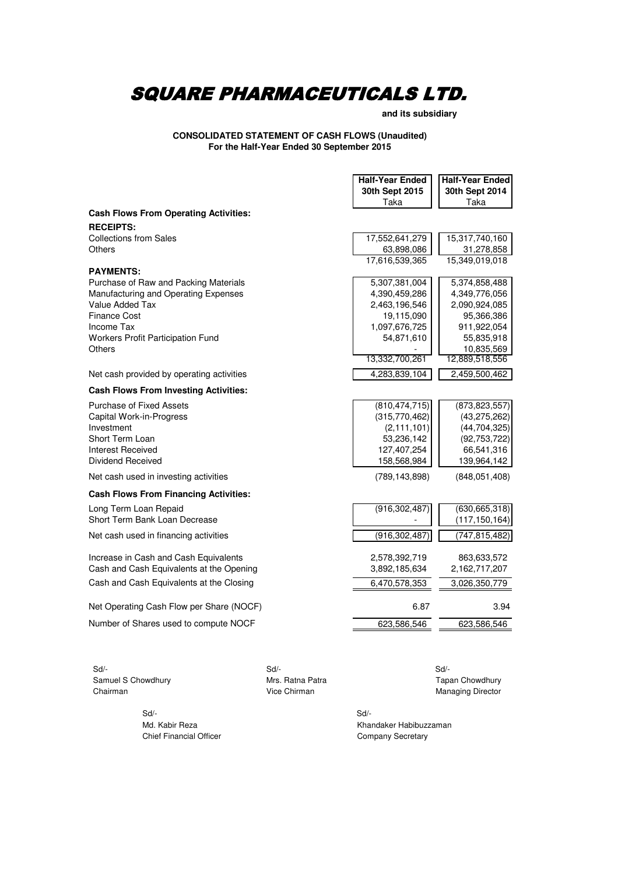**and its subsidiary**

### **CONSOLIDATED STATEMENT OF CASH FLOWS (Unaudited) For the Half-Year Ended 30 September 2015**

|                                              | <b>Half-Year Ended</b> | <b>Half-Year Ended</b> |
|----------------------------------------------|------------------------|------------------------|
|                                              | 30th Sept 2015         | 30th Sept 2014         |
|                                              | Taka                   | Taka                   |
| <b>Cash Flows From Operating Activities:</b> |                        |                        |
| <b>RECEIPTS:</b>                             |                        |                        |
| <b>Collections from Sales</b>                | 17,552,641,279         | 15,317,740,160         |
| <b>Others</b>                                | 63,898,086             | 31,278,858             |
| <b>PAYMENTS:</b>                             | 17,616,539,365         | 15,349,019,018         |
| Purchase of Raw and Packing Materials        | 5,307,381,004          | 5,374,858,488          |
| Manufacturing and Operating Expenses         | 4,390,459,286          | 4,349,776,056          |
| Value Added Tax                              | 2,463,196,546          | 2,090,924,085          |
| <b>Finance Cost</b>                          | 19,115,090             | 95,366,386             |
| Income Tax                                   | 1,097,676,725          | 911,922,054            |
| <b>Workers Profit Participation Fund</b>     | 54,871,610             | 55,835,918             |
| <b>Others</b>                                |                        | 10,835,569             |
|                                              | 13,332,700,261         | 12,889,518,556         |
| Net cash provided by operating activities    | 4,283,839,104          | 2,459,500,462          |
| <b>Cash Flows From Investing Activities:</b> |                        |                        |
| <b>Purchase of Fixed Assets</b>              | (810, 474, 715)        | (873, 823, 557)        |
| Capital Work-in-Progress                     | (315,770,462)          | (43, 275, 262)         |
| Investment                                   | (2, 111, 101)          | (44, 704, 325)         |
| Short Term Loan                              | 53,236,142             | (92, 753, 722)         |
| <b>Interest Received</b>                     | 127,407,254            | 66,541,316             |
| <b>Dividend Received</b>                     | 158,568,984            | 139,964,142            |
| Net cash used in investing activities        | (789, 143, 898)        | (848,051,408)          |
| <b>Cash Flows From Financing Activities:</b> |                        |                        |
| Long Term Loan Repaid                        | (916, 302, 487)        | (630, 665, 318)        |
| Short Term Bank Loan Decrease                |                        | (117, 150, 164)        |
| Net cash used in financing activities        | (916,302,487)          | (747,815,482)          |
| Increase in Cash and Cash Equivalents        | 2,578,392,719          | 863,633,572            |
| Cash and Cash Equivalents at the Opening     | 3,892,185,634          | 2,162,717,207          |
| Cash and Cash Equivalents at the Closing     | 6,470,578,353          | 3,026,350,779          |
|                                              |                        |                        |
| Net Operating Cash Flow per Share (NOCF)     | 6.87                   | 3.94                   |
| Number of Shares used to compute NOCF        | 623,586,546            | 623,586,546            |
|                                              |                        |                        |

 Sd/- Sd/- Sd/- Samuel S Chowdhury **Mrs. Ratna Patra** Mrs. Ratna Patra Tapan Chowdhury Chairman<br>
Vice Chirman Managing Director Chairman **Chairman** Vice Chirman **Vice Chirman** Managing Director

Sd/- Sd/-

Md. Kabir Reza Khandaker Habibuzzaman Chief Financial Officer Chief Financial Officer Company Secretary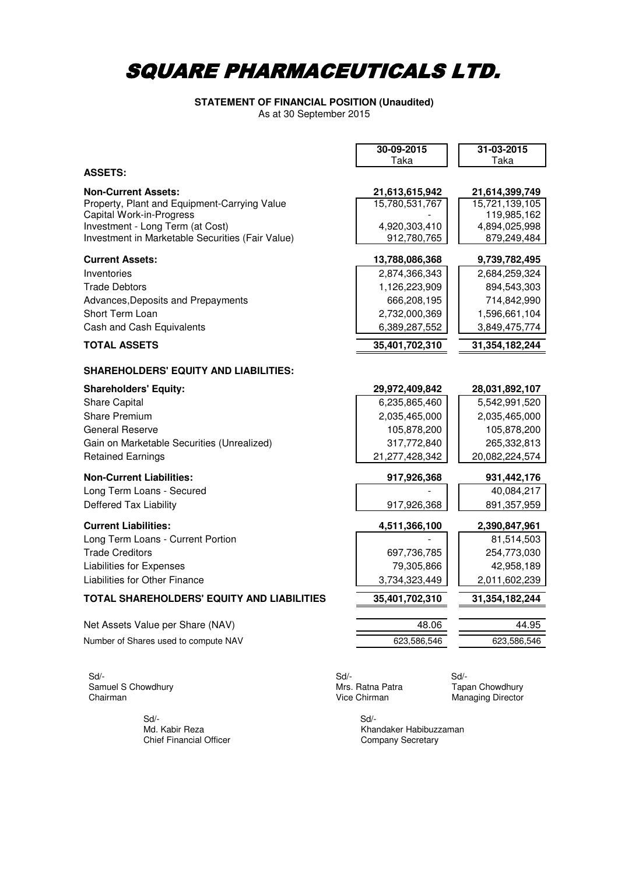### As at 30 September 2015 **STATEMENT OF FINANCIAL POSITION (Unaudited)**

|                                                  | 30-09-2015     | 31-03-2015     |
|--------------------------------------------------|----------------|----------------|
|                                                  | Taka           | Taka           |
| <b>ASSETS:</b>                                   |                |                |
| <b>Non-Current Assets:</b>                       | 21,613,615,942 | 21,614,399,749 |
| Property, Plant and Equipment-Carrying Value     | 15,780,531,767 | 15,721,139,105 |
| <b>Capital Work-in-Progress</b>                  |                | 119,985,162    |
| Investment - Long Term (at Cost)                 | 4,920,303,410  | 4,894,025,998  |
| Investment in Marketable Securities (Fair Value) | 912,780,765    | 879,249,484    |
| <b>Current Assets:</b>                           | 13,788,086,368 | 9,739,782,495  |
| Inventories                                      | 2,874,366,343  | 2,684,259,324  |
| <b>Trade Debtors</b>                             | 1,126,223,909  | 894,543,303    |
| Advances, Deposits and Prepayments               | 666,208,195    | 714,842,990    |
| Short Term Loan                                  | 2,732,000,369  | 1,596,661,104  |
| Cash and Cash Equivalents                        | 6,389,287,552  | 3,849,475,774  |
| <b>TOTAL ASSETS</b>                              | 35,401,702,310 | 31,354,182,244 |
| <b>SHAREHOLDERS' EQUITY AND LIABILITIES:</b>     |                |                |
| <b>Shareholders' Equity:</b>                     | 29,972,409,842 | 28,031,892,107 |
| <b>Share Capital</b>                             | 6,235,865,460  | 5,542,991,520  |
| <b>Share Premium</b>                             | 2,035,465,000  | 2,035,465,000  |
| <b>General Reserve</b>                           | 105,878,200    | 105,878,200    |
| Gain on Marketable Securities (Unrealized)       | 317,772,840    | 265,332,813    |
| <b>Retained Earnings</b>                         | 21,277,428,342 | 20,082,224,574 |
| <b>Non-Current Liabilities:</b>                  | 917,926,368    | 931,442,176    |
| Long Term Loans - Secured                        |                | 40,084,217     |
| Deffered Tax Liability                           | 917,926,368    | 891, 357, 959  |
| <b>Current Liabilities:</b>                      | 4,511,366,100  | 2,390,847,961  |
| Long Term Loans - Current Portion                |                | 81,514,503     |
| <b>Trade Creditors</b>                           | 697,736,785    | 254,773,030    |
| <b>Liabilities for Expenses</b>                  | 79,305,866     | 42,958,189     |
| Liabilities for Other Finance                    | 3,734,323,449  | 2,011,602,239  |
| TOTAL SHAREHOLDERS' EQUITY AND LIABILITIES       | 35,401,702,310 | 31,354,182,244 |
| Net Assets Value per Share (NAV)                 | 48.06          | 44.95          |
| Number of Shares used to compute NAV             | 623,586,546    | 623,586,546    |
|                                                  |                |                |

Samuel S Chowdhury **Samuel S Chowdhury** Mrs. Ratna Patra **Tapan Chowdhury** Chairman Managing Director

Sd/- Sd/-

 $Sd$  -  $Sd$  -  $Sd$  -  $Sd$  -  $Sd$  -  $Sd$  -  $Sd$  -  $Sd$  -  $Sd$  -  $Sd$  -  $Sd$  -  $Sd$  -  $Sd$  -  $Sd$  -  $Sd$  -  $Sd$  -  $Sd$  -  $Sd$  -  $Sd$  -  $Sd$  -  $Sd$  -  $Sd$  -  $Sd$  -  $Sd$  -  $Sd$  -  $Sd$  -  $Sd$  -  $Sd$  -  $Sd$  -  $Sd$  -  $Sd$  -  $Sd$ 

Managing Director

Md. Kabir Reza **Khandaker Habibuzzaman**<br>Chief Financial Officer **Khandaker Khandaker Habibuzzaman** Company Secretary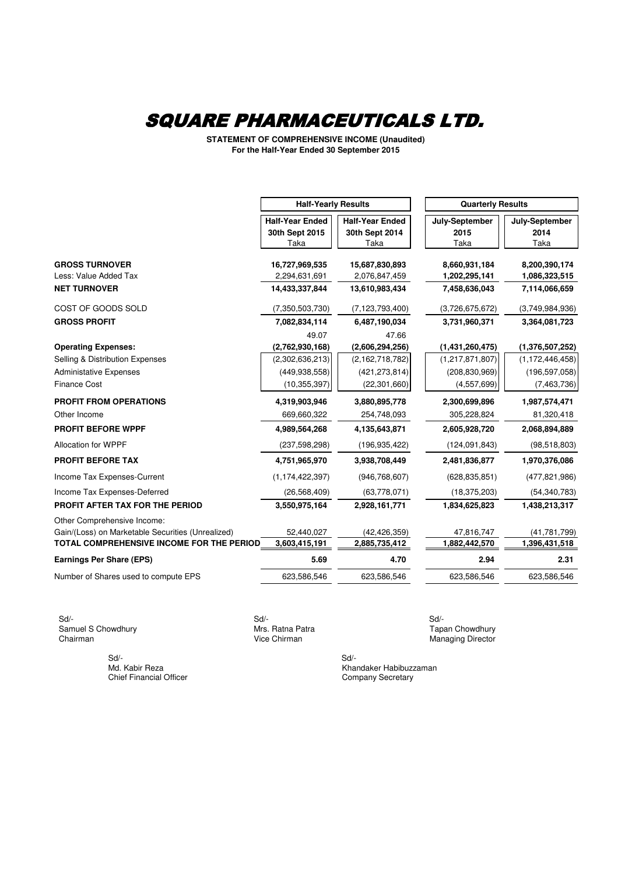**STATEMENT OF COMPREHENSIVE INCOME (Unaudited) For the Half-Year Ended 30 September 2015**

|                                                                                                                       | <b>Half-Yearly Results</b>                                                       |                                                                                     | <b>Quarterly Results</b>                                               |                                                                         |
|-----------------------------------------------------------------------------------------------------------------------|----------------------------------------------------------------------------------|-------------------------------------------------------------------------------------|------------------------------------------------------------------------|-------------------------------------------------------------------------|
|                                                                                                                       | <b>Half-Year Ended</b>                                                           | <b>Half-Year Ended</b>                                                              | July-September                                                         | July-September                                                          |
|                                                                                                                       | 30th Sept 2015                                                                   | 30th Sept 2014                                                                      | 2015                                                                   | 2014                                                                    |
|                                                                                                                       | Taka                                                                             | Taka                                                                                | Taka                                                                   | Taka                                                                    |
| <b>GROSS TURNOVER</b>                                                                                                 | 16,727,969,535                                                                   | 15,687,830,893                                                                      | 8,660,931,184                                                          | 8,200,390,174                                                           |
| Less: Value Added Tax                                                                                                 | 2,294,631,691                                                                    | 2,076,847,459                                                                       | 1,202,295,141                                                          | 1,086,323,515                                                           |
| <b>NET TURNOVER</b>                                                                                                   | 14,433,337,844                                                                   | 13,610,983,434                                                                      | 7,458,636,043                                                          | 7,114,066,659                                                           |
| COST OF GOODS SOLD                                                                                                    | (7, 350, 503, 730)                                                               | (7, 123, 793, 400)                                                                  | (3,726,675,672)                                                        | (3,749,984,936)                                                         |
| <b>GROSS PROFIT</b>                                                                                                   | 7,082,834,114                                                                    | 6,487,190,034                                                                       | 3,731,960,371                                                          | 3,364,081,723                                                           |
| <b>Operating Expenses:</b><br>Selling & Distribution Expenses<br><b>Administative Expenses</b><br><b>Finance Cost</b> | 49.07<br>(2,762,930,168)<br>(2,302,636,213)<br>(449, 938, 558)<br>(10, 355, 397) | 47.66<br>(2,606,294,256)<br>(2, 162, 718, 782)<br>(421, 273, 814)<br>(22, 301, 660) | (1,431,260,475)<br>(1,217,871,807)<br>(208, 830, 969)<br>(4, 557, 699) | (1,376,507,252)<br>(1, 172, 446, 458)<br>(196, 597, 058)<br>(7,463,736) |
| <b>PROFIT FROM OPERATIONS</b>                                                                                         | 4,319,903,946                                                                    | 3,880,895,778                                                                       | 2,300,699,896                                                          | 1,987,574,471                                                           |
| Other Income                                                                                                          | 669,660,322                                                                      | 254,748,093                                                                         | 305,228,824                                                            | 81,320,418                                                              |
| <b>PROFIT BEFORE WPPF</b>                                                                                             | 4,989,564,268                                                                    | 4,135,643,871                                                                       | 2,605,928,720                                                          | 2,068,894,889                                                           |
| Allocation for WPPF                                                                                                   | (237, 598, 298)                                                                  | (196, 935, 422)                                                                     | (124, 091, 843)                                                        | (98, 518, 803)                                                          |
| <b>PROFIT BEFORE TAX</b>                                                                                              | 4,751,965,970                                                                    | 3,938,708,449                                                                       | 2,481,836,877                                                          | 1,970,376,086                                                           |
| Income Tax Expenses-Current                                                                                           | (1, 174, 422, 397)                                                               | (946, 768, 607)                                                                     | (628, 835, 851)                                                        | (477, 821, 986)                                                         |
| Income Tax Expenses-Deferred<br>PROFIT AFTER TAX FOR THE PERIOD<br>Other Comprehensive Income:                        | (26, 568, 409)<br>3,550,975,164                                                  | (63,778,071)<br>2,928,161,771                                                       | (18, 375, 203)<br>1,834,625,823                                        | (54, 340, 783)<br>1,438,213,317                                         |
| Gain/(Loss) on Marketable Securities (Unrealized)                                                                     | 52,440,027                                                                       | (42, 426, 359)                                                                      | 47,816,747                                                             | (41, 781, 799)                                                          |
| TOTAL COMPREHENSIVE INCOME FOR THE PERIOD                                                                             | 3,603,415,191                                                                    | 2,885,735,412                                                                       | 1,882,442,570                                                          | 1,396,431,518                                                           |
| <b>Earnings Per Share (EPS)</b>                                                                                       | 5.69                                                                             | 4.70                                                                                | 2.94                                                                   | 2.31                                                                    |
| Number of Shares used to compute EPS                                                                                  | 623,586,546                                                                      | 623,586,546                                                                         | 623,586,546                                                            | 623,586,546                                                             |

 Sd/- Sd/- Sd/- Samuel S Chowdhury **Samuel S Chowdhury** Mrs. Ratna Patra **No. 2018** Tapan Chowdhury Chairman Chowdhury Chairman

 $Sd/-$ Chief Financial Officer

Managing Director

Md. Kabir Reza Khandaker Habibuzzaman<br>
Chief Financial Officer Chief Chief Entertainment Company Secretary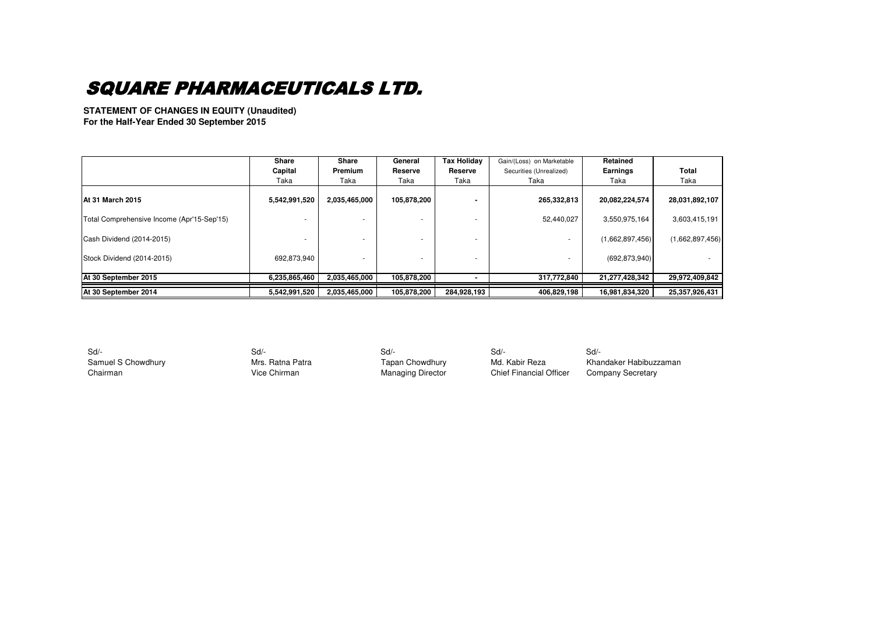**STATEMENT OF CHANGES IN EQUITY (Unaudited) For the Half-Year Ended 30 September 2015**

|                                            | <b>Share</b><br>Capital<br>Taka | <b>Share</b><br><b>Premium</b><br>Taka | General<br>Reserve<br>Taka | <b>Tax Holiday</b><br>Reserve<br>Taka | Gain/(Loss) on Marketable<br>Securities (Unrealized)<br>Taka | Retained<br><b>Earnings</b><br>Taka | <b>Total</b><br>Taka |
|--------------------------------------------|---------------------------------|----------------------------------------|----------------------------|---------------------------------------|--------------------------------------------------------------|-------------------------------------|----------------------|
|                                            |                                 |                                        |                            |                                       |                                                              |                                     |                      |
| <b>IAt 31 March 2015</b>                   | 5,542,991,520                   | 2,035,465,000                          | 105,878,200                |                                       | 265,332,813                                                  | 20,082,224,574                      | 28,031,892,107       |
| Total Comprehensive Income (Apr'15-Sep'15) |                                 |                                        |                            |                                       | 52,440,027                                                   | 3,550,975,164                       | 3,603,415,191        |
| Cash Dividend (2014-2015)                  |                                 |                                        |                            |                                       |                                                              | (1,662,897,456)                     | (1,662,897,456)      |
| Stock Dividend (2014-2015)                 | 692,873,940                     |                                        |                            |                                       |                                                              | (692, 873, 940)                     |                      |
| At 30 September 2015                       | 6,235,865,460                   | 2,035,465,000                          | 105,878,200                |                                       | 317,772,840                                                  | 21,277,428,342                      | 29,972,409,842       |
| At 30 September 2014                       | 5,542,991,520                   | 2,035,465,000                          | 105,878,200                | 284,928,193                           | 406,829,198                                                  | 16,981,834,320                      | 25,357,926,431       |

 Sd/- Sd/- Sd/- Sd/- Sd/- Chairman **Vice Chirman** Vice Chirman Managing Director Chief Financial Officer

Samuel S Chowdhury **Samuel S Chowdhury** Mrs. Ratna Patra Tapan Chowdhury Md. Kabir Reza Khandaker Habibuzzaman<br>Chairman Chairman Vice Chirman Managing Director Chief Financial Officer Company Secretary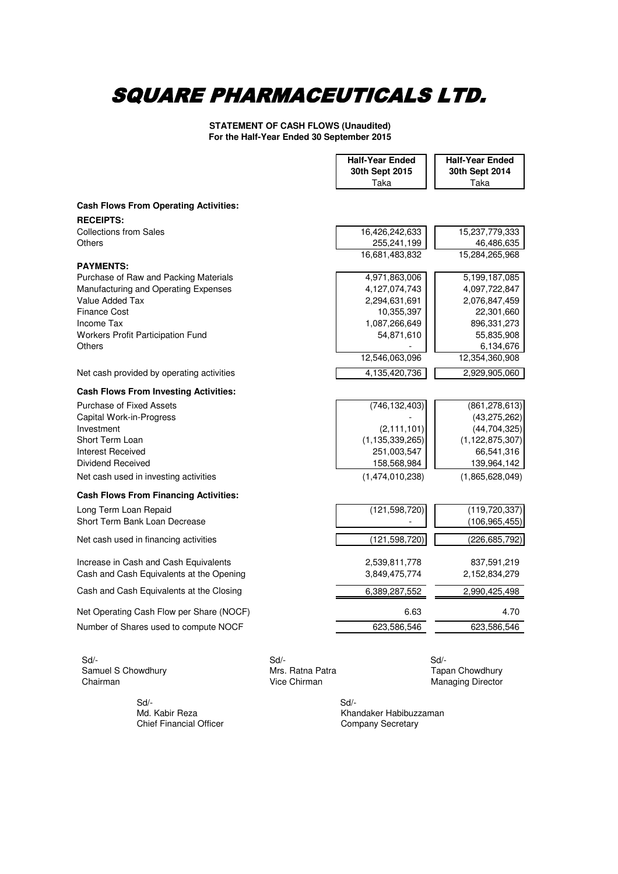**STATEMENT OF CASH FLOWS (Unaudited) For the Half-Year Ended 30 September 2015**

|                                                   | <b>Half-Year Ended</b> | <b>Half-Year Ended</b> |
|---------------------------------------------------|------------------------|------------------------|
|                                                   | 30th Sept 2015         | 30th Sept 2014         |
|                                                   | Taka                   | Taka                   |
| <b>Cash Flows From Operating Activities:</b>      |                        |                        |
|                                                   |                        |                        |
| <b>RECEIPTS:</b><br><b>Collections from Sales</b> | 16,426,242,633         | 15,237,779,333         |
| Others                                            | 255,241,199            | 46,486,635             |
|                                                   | 16,681,483,832         | 15,284,265,968         |
| <b>PAYMENTS:</b>                                  |                        |                        |
| Purchase of Raw and Packing Materials             | 4,971,863,006          | 5,199,187,085          |
| Manufacturing and Operating Expenses              | 4,127,074,743          | 4,097,722,847          |
| Value Added Tax                                   | 2,294,631,691          | 2,076,847,459          |
| <b>Finance Cost</b>                               | 10,355,397             | 22,301,660             |
| Income Tax                                        | 1,087,266,649          | 896, 331, 273          |
| <b>Workers Profit Participation Fund</b>          | 54,871,610             | 55,835,908             |
| <b>Others</b>                                     |                        | 6,134,676              |
|                                                   | 12,546,063,096         | 12,354,360,908         |
| Net cash provided by operating activities         | 4,135,420,736          | 2,929,905,060          |
| <b>Cash Flows From Investing Activities:</b>      |                        |                        |
| <b>Purchase of Fixed Assets</b>                   | (746, 132, 403)        | (861, 278, 613)        |
| Capital Work-in-Progress                          |                        | (43, 275, 262)         |
| Investment                                        | (2, 111, 101)          | (44, 704, 325)         |
| Short Term Loan                                   | (1, 135, 339, 265)     | (1, 122, 875, 307)     |
| Interest Received                                 | 251,003,547            | 66,541,316             |
| Dividend Received                                 | 158,568,984            | 139,964,142            |
| Net cash used in investing activities             | (1,474,010,238)        | (1,865,628,049)        |
| <b>Cash Flows From Financing Activities:</b>      |                        |                        |
| Long Term Loan Repaid                             | (121, 598, 720)        | (119, 720, 337)        |
| Short Term Bank Loan Decrease                     |                        | (106, 965, 455)        |
| Net cash used in financing activities             | (121, 598, 720)        | (226, 685, 792)        |
| Increase in Cash and Cash Equivalents             | 2,539,811,778          | 837,591,219            |
| Cash and Cash Equivalents at the Opening          | 3,849,475,774          | 2,152,834,279          |
| Cash and Cash Equivalents at the Closing          | 6,389,287,552          | 2,990,425,498          |
| Net Operating Cash Flow per Share (NOCF)          | 6.63                   | 4.70                   |
| Number of Shares used to compute NOCF             | 623,586,546            | 623,586,546            |
|                                                   |                        |                        |

 Sd/- Sd/- Sd/- Samuel S Chowdhury **Samuel S Chowdhury** Mrs. Ratna Patra **Tapan Chowdhury Chairman** Chairman Chowdhury Chairman Chairman **Chairman** Vice Chirman **Vice Chirman** Managing Director

 Sd/- Sd/- Chief Financial Officer

Md. Kabir Reza Khandaker Habibuzzaman<br>Chief Financial Officer Chief Company Secretary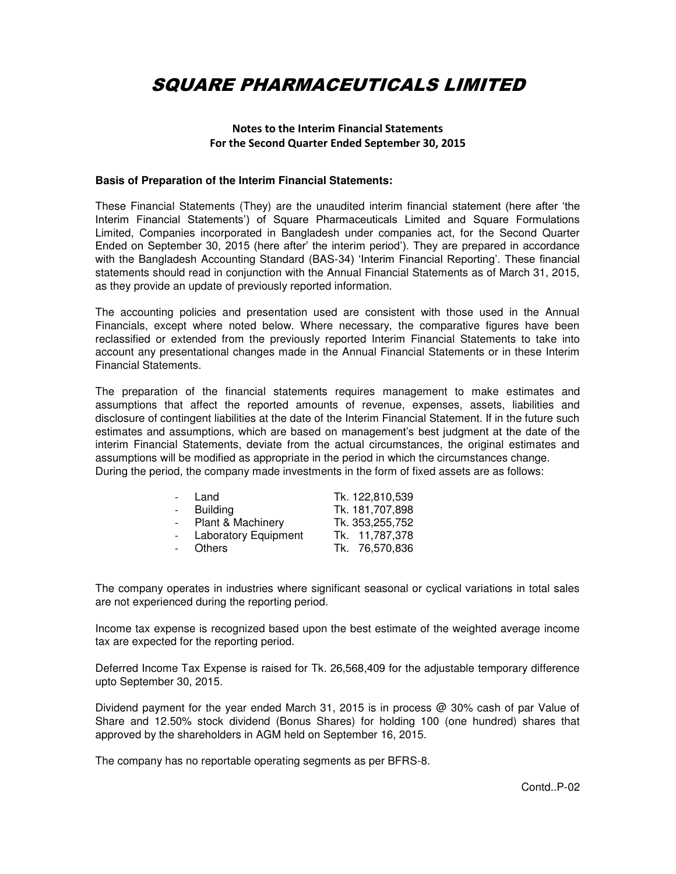#### **Notes to the Interim Financial Statements For the Second Quarter Ended September 30, 2015**

#### **Basis of Preparation of the Interim Financial Statements:**

These Financial Statements (They) are the unaudited interim financial statement (here after 'the Interim Financial Statements') of Square Pharmaceuticals Limited and Square Formulations Limited, Companies incorporated in Bangladesh under companies act, for the Second Quarter Ended on September 30, 2015 (here after' the interim period'). They are prepared in accordance with the Bangladesh Accounting Standard (BAS-34) 'Interim Financial Reporting'. These financial statements should read in conjunction with the Annual Financial Statements as of March 31, 2015, as they provide an update of previously reported information.

The accounting policies and presentation used are consistent with those used in the Annual Financials, except where noted below. Where necessary, the comparative figures have been reclassified or extended from the previously reported Interim Financial Statements to take into account any presentational changes made in the Annual Financial Statements or in these Interim Financial Statements.

The preparation of the financial statements requires management to make estimates and assumptions that affect the reported amounts of revenue, expenses, assets, liabilities and disclosure of contingent liabilities at the date of the Interim Financial Statement. If in the future such estimates and assumptions, which are based on management's best judgment at the date of the interim Financial Statements, deviate from the actual circumstances, the original estimates and assumptions will be modified as appropriate in the period in which the circumstances change. During the period, the company made investments in the form of fixed assets are as follows:

| $\sim$ | Land                        | Tk. 122,810,539 |
|--------|-----------------------------|-----------------|
|        | <b>Building</b>             | Tk. 181,707,898 |
|        | Plant & Machinery           | Tk. 353,255,752 |
|        | <b>Laboratory Equipment</b> | Tk. 11,787,378  |
|        | <b>Others</b>               | Tk. 76,570,836  |

The company operates in industries where significant seasonal or cyclical variations in total sales are not experienced during the reporting period.

Income tax expense is recognized based upon the best estimate of the weighted average income tax are expected for the reporting period.

Deferred Income Tax Expense is raised for Tk. 26,568,409 for the adjustable temporary difference upto September 30, 2015.

Dividend payment for the year ended March 31, 2015 is in process @ 30% cash of par Value of Share and 12.50% stock dividend (Bonus Shares) for holding 100 (one hundred) shares that approved by the shareholders in AGM held on September 16, 2015.

The company has no reportable operating segments as per BFRS-8.